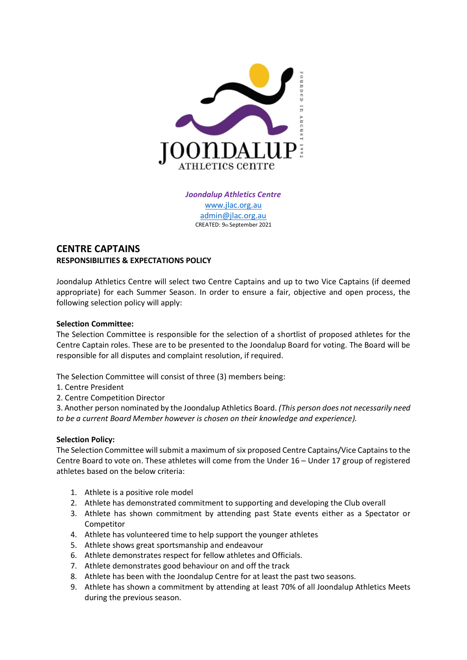

*Joondalup Athletics Centre* [www.jlac.org.au](http://www.jlac.org.au/) [admin@jlac.org.au](mailto:admin@jlac.org.au) CREATED: 9th September 2021

## **CENTRE CAPTAINS RESPONSIBILITIES & EXPECTATIONS POLICY**

Joondalup Athletics Centre will select two Centre Captains and up to two Vice Captains (if deemed appropriate) for each Summer Season. In order to ensure a fair, objective and open process, the following selection policy will apply:

## **Selection Committee:**

The Selection Committee is responsible for the selection of a shortlist of proposed athletes for the Centre Captain roles. These are to be presented to the Joondalup Board for voting. The Board will be responsible for all disputes and complaint resolution, if required.

The Selection Committee will consist of three (3) members being:

- 1. Centre President
- 2. Centre Competition Director

3. Another person nominated by the Joondalup Athletics Board. *(This person does not necessarily need to be a current Board Member however is chosen on their knowledge and experience).*

## **Selection Policy:**

The Selection Committee will submit a maximum of six proposed Centre Captains/Vice Captains to the Centre Board to vote on. These athletes will come from the Under 16 – Under 17 group of registered athletes based on the below criteria:

- 1. Athlete is a positive role model
- 2. Athlete has demonstrated commitment to supporting and developing the Club overall
- 3. Athlete has shown commitment by attending past State events either as a Spectator or Competitor
- 4. Athlete has volunteered time to help support the younger athletes
- 5. Athlete shows great sportsmanship and endeavour
- 6. Athlete demonstrates respect for fellow athletes and Officials.
- 7. Athlete demonstrates good behaviour on and off the track
- 8. Athlete has been with the Joondalup Centre for at least the past two seasons.
- 9. Athlete has shown a commitment by attending at least 70% of all Joondalup Athletics Meets during the previous season.